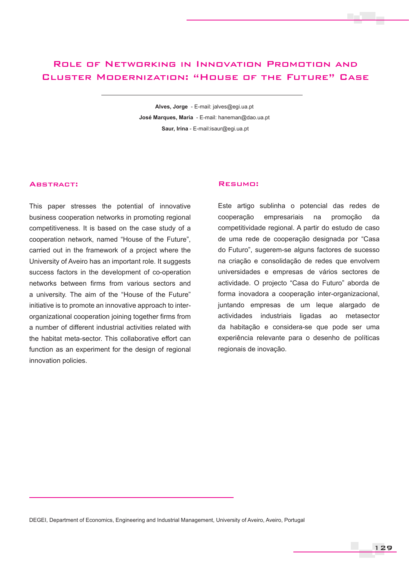# Role of Networking in Innovation Promotion and Cluster Modernization: "House of the Future" Case

**Alves, Jorge** - E-mail: jalves@egi.ua.pt **José Marques, Maria** - E-mail: haneman@dao.ua.pt  **Saur, Irina** - E-mail:isaur@egi.ua.pt

#### Abstract:

This paper stresses the potential of innovative business cooperation networks in promoting regional competitiveness. It is based on the case study of a cooperation network, named "House of the Future", carried out in the framework of a project where the University of Aveiro has an important role. It suggests success factors in the development of co-operation networks between firms from various sectors and a university. The aim of the "House of the Future" initiative is to promote an innovative approach to interorganizational cooperation joining together firms from a number of different industrial activities related with the habitat meta-sector. This collaborative effort can function as an experiment for the design of regional innovation policies.

### Resumo:

Este artigo sublinha o potencial das redes de cooperação empresariais na promoção da competitividade regional. A partir do estudo de caso de uma rede de cooperação designada por "Casa do Futuro", sugerem-se alguns factores de sucesso na criação e consolidação de redes que envolvem universidades e empresas de vários sectores de actividade. O projecto "Casa do Futuro" aborda de forma inovadora a cooperação inter-organizacional, juntando empresas de um leque alargado de actividades industriais ligadas ao metasector da habitação e considera-se que pode ser uma experiência relevante para o desenho de políticas regionais de inovação.

DEGEI, Department of Economics, Engineering and Industrial Management, University of Aveiro, Aveiro, Portugal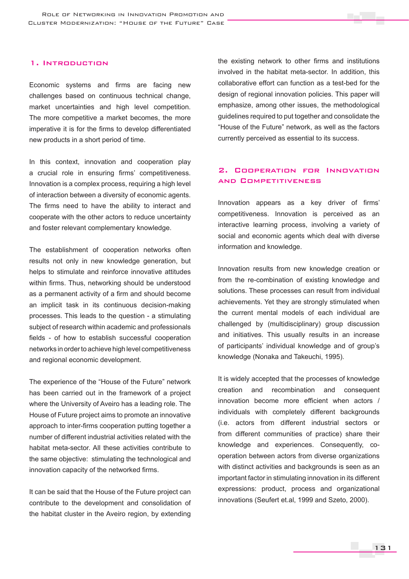### 1. Introduction

Economic systems and firms are facing new challenges based on continuous technical change, market uncertainties and high level competition. The more competitive a market becomes, the more imperative it is for the firms to develop differentiated new products in a short period of time.

In this context, innovation and cooperation play a crucial role in ensuring firms' competitiveness. Innovation is a complex process, requiring a high level of interaction between a diversity of economic agents. The firms need to have the ability to interact and cooperate with the other actors to reduce uncertainty and foster relevant complementary knowledge.

The establishment of cooperation networks often results not only in new knowledge generation, but helps to stimulate and reinforce innovative attitudes within firms. Thus, networking should be understood as a permanent activity of a firm and should become an implicit task in its continuous decision-making processes. This leads to the question - a stimulating subject of research within academic and professionals fields - of how to establish successful cooperation networks in order to achieve high level competitiveness and regional economic development.

The experience of the "House of the Future" network has been carried out in the framework of a project where the University of Aveiro has a leading role. The House of Future project aims to promote an innovative approach to inter-firms cooperation putting together a number of different industrial activities related with the habitat meta-sector. All these activities contribute to the same objective: stimulating the technological and innovation capacity of the networked firms.

It can be said that the House of the Future project can contribute to the development and consolidation of the habitat cluster in the Aveiro region, by extending

the existing network to other firms and institutions involved in the habitat meta-sector. In addition, this collaborative effort can function as a test-bed for the design of regional innovation policies. This paper will emphasize, among other issues, the methodological guidelines required to put together and consolidate the "House of the Future" network, as well as the factors currently perceived as essential to its success.

## 2. Cooperation for Innovation and Competitiveness

Innovation appears as a key driver of firms' competitiveness. Innovation is perceived as an interactive learning process, involving a variety of social and economic agents which deal with diverse information and knowledge.

Innovation results from new knowledge creation or from the re-combination of existing knowledge and solutions. These processes can result from individual achievements. Yet they are strongly stimulated when the current mental models of each individual are challenged by (multidisciplinary) group discussion and initiatives. This usually results in an increase of participants' individual knowledge and of group's knowledge (Nonaka and Takeuchi, 1995).

It is widely accepted that the processes of knowledge creation and recombination and consequent innovation become more efficient when actors / individuals with completely different backgrounds (i.e. actors from different industrial sectors or from different communities of practice) share their knowledge and experiences. Consequently, cooperation between actors from diverse organizations with distinct activities and backgrounds is seen as an important factor in stimulating innovation in its different expressions: product, process and organizational innovations (Seufert et.al, 1999 and Szeto, 2000).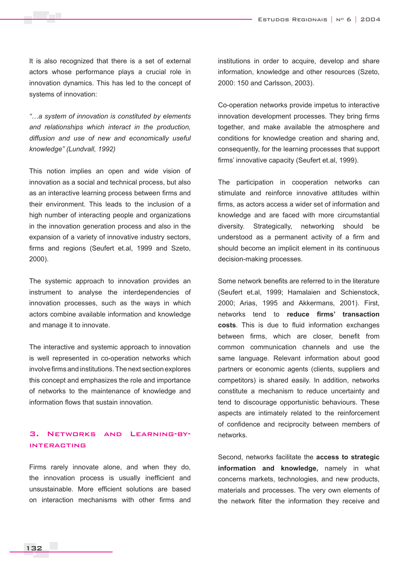It is also recognized that there is a set of external actors whose performance plays a crucial role in innovation dynamics. This has led to the concept of systems of innovation:

*"…a system of innovation is constituted by elements and relationships which interact in the production, diffusion and use of new and economically useful knowledge" (Lundvall, 1992)* 

This notion implies an open and wide vision of innovation as a social and technical process, but also as an interactive learning process between firms and their environment. This leads to the inclusion of a high number of interacting people and organizations in the innovation generation process and also in the expansion of a variety of innovative industry sectors, firms and regions (Seufert et.al, 1999 and Szeto, 2000).

The systemic approach to innovation provides an instrument to analyse the interdependencies of innovation processes, such as the ways in which actors combine available information and knowledge and manage it to innovate.

The interactive and systemic approach to innovation is well represented in co-operation networks which involve firms and institutions. The next section explores this concept and emphasizes the role and importance of networks to the maintenance of knowledge and information flows that sustain innovation.

## 3. Networks and Learning-byinteracting

Firms rarely innovate alone, and when they do, the innovation process is usually inefficient and unsustainable. More efficient solutions are based on interaction mechanisms with other firms and institutions in order to acquire, develop and share information, knowledge and other resources (Szeto, 2000: 150 and Carlsson, 2003).

Co-operation networks provide impetus to interactive innovation development processes. They bring firms together, and make available the atmosphere and conditions for knowledge creation and sharing and, consequently, for the learning processes that support firms' innovative capacity (Seufert et.al, 1999).

The participation in cooperation networks can stimulate and reinforce innovative attitudes within firms, as actors access a wider set of information and knowledge and are faced with more circumstantial diversity. Strategically, networking should be understood as a permanent activity of a firm and should become an implicit element in its continuous decision-making processes.

Some network benefits are referred to in the literature (Seufert et.al, 1999; Hamalaien and Schienstock, 2000; Arias, 1995 and Akkermans, 2001). First, networks tend to **reduce firms' transaction costs**. This is due to fluid information exchanges between firms, which are closer, benefit from common communication channels and use the same language. Relevant information about good partners or economic agents (clients, suppliers and competitors) is shared easily. In addition, networks constitute a mechanism to reduce uncertainty and tend to discourage opportunistic behaviours. These aspects are intimately related to the reinforcement of confidence and reciprocity between members of networks.

Second, networks facilitate the **access to strategic information and knowledge,** namely in what concerns markets, technologies, and new products, materials and processes. The very own elements of the network filter the information they receive and

132 133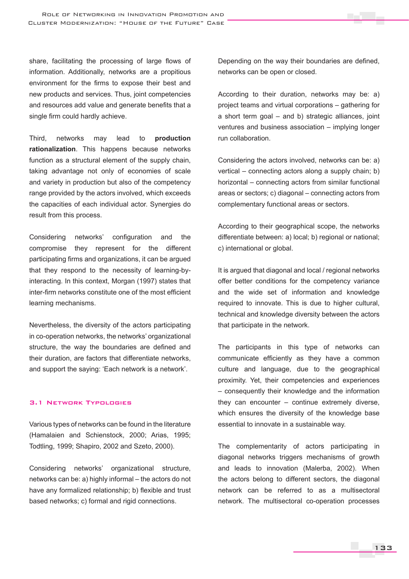share, facilitating the processing of large flows of information. Additionally, networks are a propitious environment for the firms to expose their best and new products and services. Thus, joint competencies and resources add value and generate benefits that a single firm could hardly achieve.

Third, networks may lead to **production rationalization**. This happens because networks function as a structural element of the supply chain, taking advantage not only of economies of scale and variety in production but also of the competency range provided by the actors involved, which exceeds the capacities of each individual actor. Synergies do result from this process.

Considering networks' configuration and the compromise they represent for the different participating firms and organizations, it can be argued that they respond to the necessity of learning-byinteracting. In this context, Morgan (1997) states that inter-firm networks constitute one of the most efficient learning mechanisms.

Nevertheless, the diversity of the actors participating in co-operation networks, the networks' organizational structure, the way the boundaries are defined and their duration, are factors that differentiate networks, and support the saying: 'Each network is a network'.

#### 3.1 Network Typologies

Various types of networks can be found in the literature (Hamalaien and Schienstock, 2000; Arias, 1995; Todtling, 1999; Shapiro, 2002 and Szeto, 2000).

Considering networks' organizational structure, networks can be: a) highly informal – the actors do not have any formalized relationship; b) flexible and trust based networks; c) formal and rigid connections.

Depending on the way their boundaries are defined, networks can be open or closed.

According to their duration, networks may be: a) project teams and virtual corporations – gathering for a short term goal – and b) strategic alliances, joint ventures and business association – implying longer run collaboration.

Considering the actors involved, networks can be: a) vertical – connecting actors along a supply chain; b) horizontal – connecting actors from similar functional areas or sectors; c) diagonal – connecting actors from complementary functional areas or sectors.

According to their geographical scope, the networks differentiate between: a) local; b) regional or national; c) international or global.

It is argued that diagonal and local / regional networks offer better conditions for the competency variance and the wide set of information and knowledge required to innovate. This is due to higher cultural, technical and knowledge diversity between the actors that participate in the network.

The participants in this type of networks can communicate efficiently as they have a common culture and language, due to the geographical proximity. Yet, their competencies and experiences – consequently their knowledge and the information they can encounter – continue extremely diverse, which ensures the diversity of the knowledge base essential to innovate in a sustainable way.

The complementarity of actors participating in diagonal networks triggers mechanisms of growth and leads to innovation (Malerba, 2002). When the actors belong to different sectors, the diagonal network can be referred to as a multisectoral network. The multisectoral co-operation processes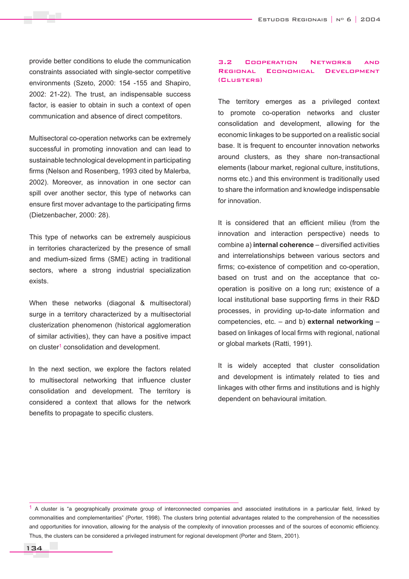provide better conditions to elude the communication constraints associated with single-sector competitive environments (Szeto, 2000: 154 -155 and Shapiro, 2002: 21-22). The trust, an indispensable success factor, is easier to obtain in such a context of open communication and absence of direct competitors.

Multisectoral co-operation networks can be extremely successful in promoting innovation and can lead to sustainable technological development in participating firms (Nelson and Rosenberg, 1993 cited by Malerba, 2002). Moreover, as innovation in one sector can spill over another sector, this type of networks can ensure first mover advantage to the participating firms (Dietzenbacher, 2000: 28).

This type of networks can be extremely auspicious in territories characterized by the presence of small and medium-sized firms (SME) acting in traditional sectors, where a strong industrial specialization exists.

When these networks (diagonal & multisectoral) surge in a territory characterized by a multisectorial clusterization phenomenon (historical agglomeration of similar activities), they can have a positive impact on cluster<sup>1</sup> consolidation and development.

In the next section, we explore the factors related to multisectoral networking that influence cluster consolidation and development. The territory is considered a context that allows for the network benefits to propagate to specific clusters.

#### 3.2 Cooperation Networks and Regional Economical Development (Clusters)

The territory emerges as a privileged context to promote co-operation networks and cluster consolidation and development, allowing for the economic linkages to be supported on a realistic social base. It is frequent to encounter innovation networks around clusters, as they share non-transactional elements (labour market, regional culture, institutions, norms etc.) and this environment is traditionally used to share the information and knowledge indispensable for innovation.

It is considered that an efficient milieu (from the innovation and interaction perspective) needs to combine a) **internal coherence** – diversified activities and interrelationships between various sectors and firms; co-existence of competition and co-operation, based on trust and on the acceptance that cooperation is positive on a long run; existence of a local institutional base supporting firms in their R&D processes, in providing up-to-date information and competencies, etc. – and b) **external networking** – based on linkages of local firms with regional, national or global markets (Ratti, 1991).

It is widely accepted that cluster consolidation and development is intimately related to ties and linkages with other firms and institutions and is highly dependent on behavioural imitation.

<sup>&</sup>lt;sup>1</sup> A cluster is "a geographically proximate group of interconnected companies and associated institutions in a particular field, linked by commonalities and complementarities" (Porter, 1998). The clusters bring potential advantages related to the comprehension of the necessities and opportunities for innovation, allowing for the analysis of the complexity of innovation processes and of the sources of economic efficiency. Thus, the clusters can be considered a privileged instrument for regional development (Porter and Stern, 2001).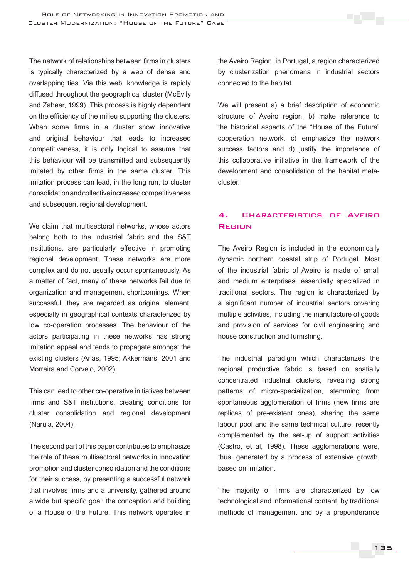The network of relationships between firms in clusters is typically characterized by a web of dense and overlapping ties. Via this web, knowledge is rapidly diffused throughout the geographical cluster (McEvily and Zaheer, 1999). This process is highly dependent on the efficiency of the milieu supporting the clusters. When some firms in a cluster show innovative and original behaviour that leads to increased competitiveness, it is only logical to assume that this behaviour will be transmitted and subsequently imitated by other firms in the same cluster. This imitation process can lead, in the long run, to cluster consolidation and collective increased competitiveness and subsequent regional development.

We claim that multisectoral networks, whose actors belong both to the industrial fabric and the S&T institutions, are particularly effective in promoting regional development. These networks are more complex and do not usually occur spontaneously. As a matter of fact, many of these networks fail due to organization and management shortcomings. When successful, they are regarded as original element, especially in geographical contexts characterized by low co-operation processes. The behaviour of the actors participating in these networks has strong imitation appeal and tends to propagate amongst the existing clusters (Arias, 1995; Akkermans, 2001 and Morreira and Corvelo, 2002).

This can lead to other co-operative initiatives between firms and S&T institutions, creating conditions for cluster consolidation and regional development (Narula, 2004).

The second part of this paper contributes to emphasize the role of these multisectoral networks in innovation promotion and cluster consolidation and the conditions for their success, by presenting a successful network that involves firms and a university, gathered around a wide but specific goal: the conception and building of a House of the Future. This network operates in the Aveiro Region, in Portugal, a region characterized by clusterization phenomena in industrial sectors connected to the habitat.

We will present a) a brief description of economic structure of Aveiro region, b) make reference to the historical aspects of the "House of the Future" cooperation network, c) emphasize the network success factors and d) justify the importance of this collaborative initiative in the framework of the development and consolidation of the habitat metacluster.

## 4. Characteristics of Aveiro Region

The Aveiro Region is included in the economically dynamic northern coastal strip of Portugal. Most of the industrial fabric of Aveiro is made of small and medium enterprises, essentially specialized in traditional sectors. The region is characterized by a significant number of industrial sectors covering multiple activities, including the manufacture of goods and provision of services for civil engineering and house construction and furnishing.

The industrial paradigm which characterizes the regional productive fabric is based on spatially concentrated industrial clusters, revealing strong patterns of micro-specialization, stemming from spontaneous agglomeration of firms (new firms are replicas of pre-existent ones), sharing the same labour pool and the same technical culture, recently complemented by the set-up of support activities (Castro, et al, 1998). These agglomerations were, thus, generated by a process of extensive growth, based on imitation.

The majority of firms are characterized by low technological and informational content, by traditional methods of management and by a preponderance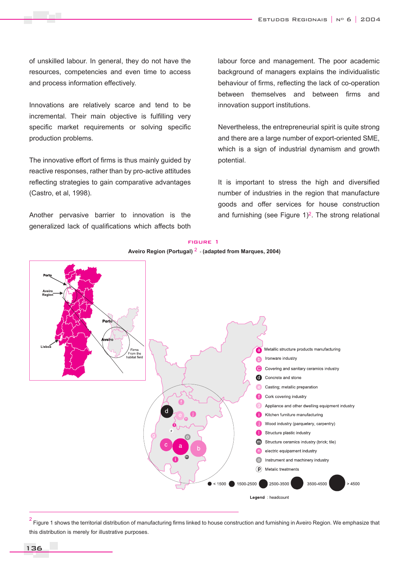of unskilled labour. In general, they do not have the resources, competencies and even time to access and process information effectively.

Innovations are relatively scarce and tend to be incremental. Their main objective is fulfilling very specific market requirements or solving specific production problems.

The innovative effort of firms is thus mainly guided by reactive responses, rather than by pro-active attitudes reflecting strategies to gain comparative advantages (Castro, et al, 1998).

Another pervasive barrier to innovation is the generalized lack of qualifications which affects both labour force and management. The poor academic background of managers explains the individualistic behaviour of firms, reflecting the lack of co-operation between themselves and between firms and innovation support institutions.

Nevertheless, the entrepreneurial spirit is quite strong and there are a large number of export-oriented SME, which is a sign of industrial dynamism and growth potential.

It is important to stress the high and diversified number of industries in the region that manufacture goods and offer services for house construction and furnishing (see Figure  $1)^2$ . The strong relational



 $^2$  Figure 1 shows the territorial distribution of manufacturing firms linked to house construction and furnishing in Aveiro Region. We emphasize that this distribution is merely for illustrative purposes.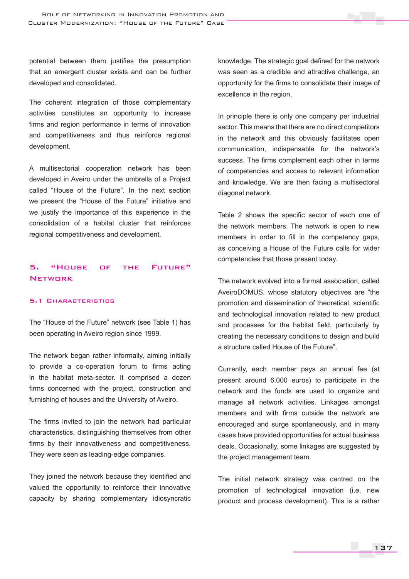potential between them justifies the presumption that an emergent cluster exists and can be further developed and consolidated.

The coherent integration of those complementary activities constitutes an opportunity to increase firms and region performance in terms of innovation and competitiveness and thus reinforce regional development.

A multisectorial cooperation network has been developed in Aveiro under the umbrella of a Project called "House of the Future". In the next section we present the "House of the Future" initiative and we justify the importance of this experience in the consolidation of a habitat cluster that reinforces regional competitiveness and development.

## 5. "House of the Future" **NETWORK**

#### 5.1 Characteristics

The "House of the Future" network (see Table 1) has been operating in Aveiro region since 1999.

The network began rather informally, aiming initially to provide a co-operation forum to firms acting in the habitat meta-sector. It comprised a dozen firms concerned with the project, construction and furnishing of houses and the University of Aveiro.

The firms invited to join the network had particular characteristics, distinguishing themselves from other firms by their innovativeness and competitiveness. They were seen as leading-edge companies.

They joined the network because they identified and valued the opportunity to reinforce their innovative capacity by sharing complementary idiosyncratic knowledge. The strategic goal defined for the network was seen as a credible and attractive challenge, an opportunity for the firms to consolidate their image of excellence in the region.

In principle there is only one company per industrial sector. This means that there are no direct competitors in the network and this obviously facilitates open communication, indispensable for the network's success. The firms complement each other in terms of competencies and access to relevant information and knowledge. We are then facing a multisectoral diagonal network.

Table 2 shows the specific sector of each one of the network members. The network is open to new members in order to fill in the competency gaps, as conceiving a House of the Future calls for wider competencies that those present today.

The network evolved into a formal association, called AveiroDOMUS, whose statutory objectives are "the promotion and dissemination of theoretical, scientific and technological innovation related to new product and processes for the habitat field, particularly by creating the necessary conditions to design and build a structure called House of the Future".

Currently, each member pays an annual fee (at present around 6.000 euros) to participate in the network and the funds are used to organize and manage all network activities. Linkages amongst members and with firms outside the network are encouraged and surge spontaneously, and in many cases have provided opportunities for actual business deals. Occasionally, some linkages are suggested by the project management team.

The initial network strategy was centred on the promotion of technological innovation (i.e. new product and process development). This is a rather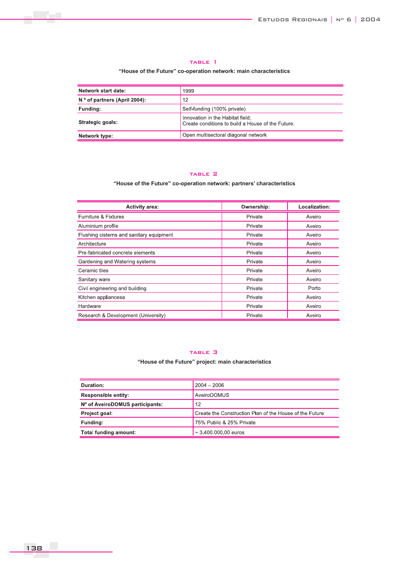#### table 1

#### **"House of the Future" co-operation network: main characteristics**

| Network start date:           | 1999                                                                                  |
|-------------------------------|---------------------------------------------------------------------------------------|
| N ° of partners (April 2004): | 12                                                                                    |
| Funding:                      | Self-funding (100% private)                                                           |
| Strategic goals:              | Innovation in the Habitat field;<br>Create conditions to build a House of the Future. |
| Network type:                 | Open multisectoral diagonal network                                                   |

#### TABLE 2

**"House of the Future" co-operation network: partners' characteristics**

| <b>Activity area:</b>                    | Ownership: | Localization: |
|------------------------------------------|------------|---------------|
| Furniture & Fixtures                     | Private    | Aveiro        |
| Aluminium profile                        | Private    | Aveiro        |
| Flushing cisterns and sanitary equipment | Private    | Aveiro        |
| Architecture                             | Private    | Aveiro        |
| Pre-fabricated concrete elements         | Private    | Aveiro        |
| Gardening and Watering systems           | Private    | Aveiro        |
| Ceramic tiles                            | Private    | Aveiro        |
| Sanitary ware                            | Private    | Aveiro        |
| Civil engineering and building           | Private    | Porto         |
| Kitchen appliancesa                      | Private    | Aveiro        |
| Hardware                                 | Private    | Aveiro        |
| Research & Development (University)      | Private    | Aveiro        |

#### table 3

#### **"House of the Future" project: main characteristics**

| Duration:                       | $2004 - 2006$                                           |
|---------------------------------|---------------------------------------------------------|
| <b>Responsible entity:</b>      | AveiroDOMUS                                             |
| Nº of AveiroDOMUS participants: | 12                                                      |
| Project goal:                   | Create the Construction Plan of the House of the Future |
| Funding:                        | 75% Public & 25% Private                                |
| Total funding amount:           | $\sim$ 3.400,000,00 euros                               |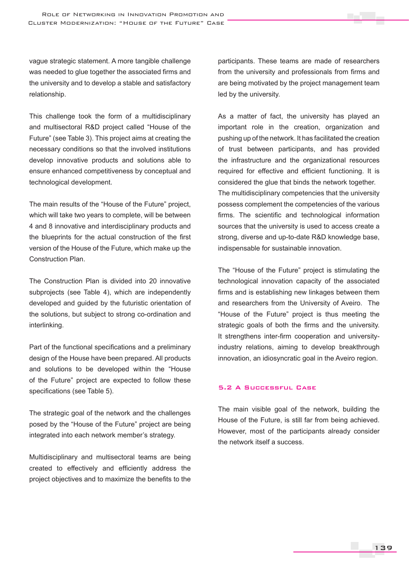vague strategic statement. A more tangible challenge was needed to glue together the associated firms and the university and to develop a stable and satisfactory relationship.

This challenge took the form of a multidisciplinary and multisectoral R&D project called "House of the Future" (see Table 3). This project aims at creating the necessary conditions so that the involved institutions develop innovative products and solutions able to ensure enhanced competitiveness by conceptual and technological development.

The main results of the "House of the Future" project, which will take two years to complete, will be between 4 and 8 innovative and interdisciplinary products and the blueprints for the actual construction of the first version of the House of the Future, which make up the Construction Plan.

The Construction Plan is divided into 20 innovative subprojects (see Table 4), which are independently developed and guided by the futuristic orientation of the solutions, but subject to strong co-ordination and interlinking.

Part of the functional specifications and a preliminary design of the House have been prepared. All products and solutions to be developed within the "House of the Future" project are expected to follow these specifications (see Table 5).

The strategic goal of the network and the challenges posed by the "House of the Future" project are being integrated into each network member's strategy.

Multidisciplinary and multisectoral teams are being created to effectively and efficiently address the project objectives and to maximize the benefits to the participants. These teams are made of researchers from the university and professionals from firms and are being motivated by the project management team led by the university.

As a matter of fact, the university has played an important role in the creation, organization and pushing up of the network. It has facilitated the creation of trust between participants, and has provided the infrastructure and the organizational resources required for effective and efficient functioning. It is considered the glue that binds the network together. The multidisciplinary competencies that the university possess complement the competencies of the various firms. The scientific and technological information sources that the university is used to access create a strong, diverse and up-to-date R&D knowledge base, indispensable for sustainable innovation.

The "House of the Future" project is stimulating the technological innovation capacity of the associated firms and is establishing new linkages between them and researchers from the University of Aveiro. The "House of the Future" project is thus meeting the strategic goals of both the firms and the university. It strengthens inter-firm cooperation and universityindustry relations, aiming to develop breakthrough innovation, an idiosyncratic goal in the Aveiro region.

## 5.2 A Successful Case

The main visible goal of the network, building the House of the Future, is still far from being achieved. However, most of the participants already consider the network itself a success.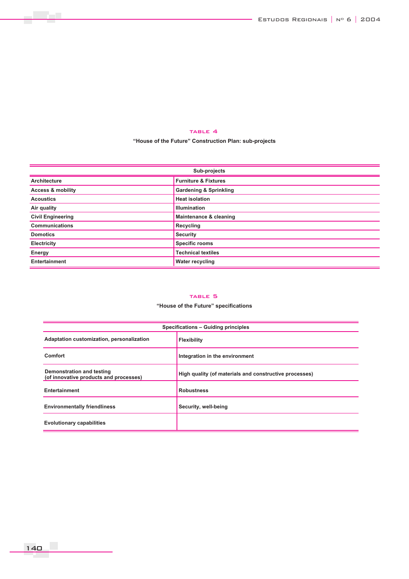#### TABLE 4

**"House of the Future" Construction Plan: sub-projects**

| Sub-projects                                                                                                                                                                                                                                                 |                                   |  |
|--------------------------------------------------------------------------------------------------------------------------------------------------------------------------------------------------------------------------------------------------------------|-----------------------------------|--|
| <b>Architecture</b>                                                                                                                                                                                                                                          | <b>Furniture &amp; Fixtures</b>   |  |
| <b>Access &amp; mobility</b>                                                                                                                                                                                                                                 | <b>Gardening &amp; Sprinkling</b> |  |
| <b>Acoustics</b>                                                                                                                                                                                                                                             | <b>Heat isolation</b>             |  |
| Air quality                                                                                                                                                                                                                                                  | <b>Illumination</b>               |  |
| <b>Civil Engineering</b>                                                                                                                                                                                                                                     | Maintenance & cleaning            |  |
| <b>Communications</b>                                                                                                                                                                                                                                        | Recycling                         |  |
| <b>Domotics</b>                                                                                                                                                                                                                                              | <b>Security</b>                   |  |
| Electricity                                                                                                                                                                                                                                                  | <b>Specific rooms</b>             |  |
| <b>Energy</b>                                                                                                                                                                                                                                                | <b>Technical textiles</b>         |  |
| <b>Entertainment</b><br><u> The Common Section of the Common Section of the Common Section of the Common Section of the Common Section of the Common Section of the Common Section of the Common Section of the Common Section of the Common Section of </u> | <b>Water recycling</b>            |  |

#### TABLE 5

### **"House of the Future" specifications**

| Specifications - Guiding principles                                 |                                                        |  |
|---------------------------------------------------------------------|--------------------------------------------------------|--|
| Adaptation customization, personalization                           | Flexibility                                            |  |
| <b>Comfort</b>                                                      | Integration in the environment                         |  |
| Demonstration and testing<br>(of innovative products and processes) | High quality (of materials and constructive processes) |  |
| <b>Entertainment</b>                                                | <b>Robustness</b>                                      |  |
| <b>Environmentally friendliness</b>                                 | Security, well-being                                   |  |
| <b>Evolutionary capabilities</b>                                    |                                                        |  |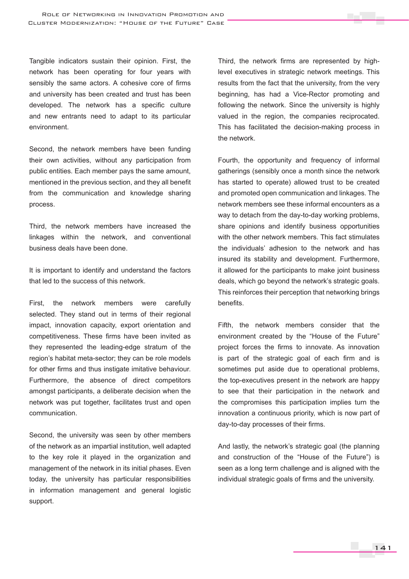Tangible indicators sustain their opinion. First, the network has been operating for four years with sensibly the same actors. A cohesive core of firms and university has been created and trust has been developed. The network has a specific culture and new entrants need to adapt to its particular environment.

Second, the network members have been funding their own activities, without any participation from public entities. Each member pays the same amount, mentioned in the previous section, and they all benefit from the communication and knowledge sharing process.

Third, the network members have increased the linkages within the network, and conventional business deals have been done.

It is important to identify and understand the factors that led to the success of this network.

First, the network members were carefully selected. They stand out in terms of their regional impact, innovation capacity, export orientation and competitiveness. These firms have been invited as they represented the leading-edge stratum of the region's habitat meta-sector; they can be role models for other firms and thus instigate imitative behaviour. Furthermore, the absence of direct competitors amongst participants, a deliberate decision when the network was put together, facilitates trust and open communication.

Second, the university was seen by other members of the network as an impartial institution, well adapted to the key role it played in the organization and management of the network in its initial phases. Even today, the university has particular responsibilities in information management and general logistic support.

Third, the network firms are represented by highlevel executives in strategic network meetings. This results from the fact that the university, from the very beginning, has had a Vice-Rector promoting and following the network. Since the university is highly valued in the region, the companies reciprocated. This has facilitated the decision-making process in the network.

Fourth, the opportunity and frequency of informal gatherings (sensibly once a month since the network has started to operate) allowed trust to be created and promoted open communication and linkages. The network members see these informal encounters as a way to detach from the day-to-day working problems, share opinions and identify business opportunities with the other network members. This fact stimulates the individuals' adhesion to the network and has insured its stability and development. Furthermore, it allowed for the participants to make joint business deals, which go beyond the network's strategic goals. This reinforces their perception that networking brings benefits.

Fifth, the network members consider that the environment created by the "House of the Future" project forces the firms to innovate. As innovation is part of the strategic goal of each firm and is sometimes put aside due to operational problems, the top-executives present in the network are happy to see that their participation in the network and the compromises this participation implies turn the innovation a continuous priority, which is now part of day-to-day processes of their firms.

And lastly, the network's strategic goal (the planning and construction of the "House of the Future") is seen as a long term challenge and is aligned with the individual strategic goals of firms and the university.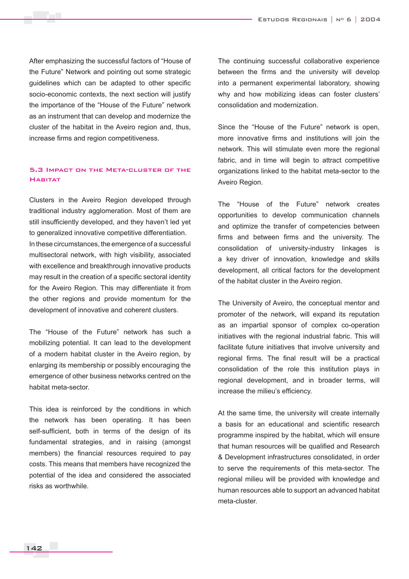After emphasizing the successful factors of "House of the Future" Network and pointing out some strategic guidelines which can be adapted to other specific socio-economic contexts, the next section will justify the importance of the "House of the Future" network as an instrument that can develop and modernize the cluster of the habitat in the Aveiro region and, thus, increase firms and region competitiveness.

## 5.3 Impact on the Meta-cluster of the **HABITAT**

Clusters in the Aveiro Region developed through traditional industry agglomeration. Most of them are still insufficiently developed, and they haven't led yet to generalized innovative competitive differentiation. In these circumstances, the emergence of a successful multisectoral network, with high visibility, associated with excellence and breakthrough innovative products may result in the creation of a specific sectoral identity for the Aveiro Region. This may differentiate it from the other regions and provide momentum for the development of innovative and coherent clusters.

The "House of the Future" network has such a mobilizing potential. It can lead to the development of a modern habitat cluster in the Aveiro region, by enlarging its membership or possibly encouraging the emergence of other business networks centred on the habitat meta-sector.

This idea is reinforced by the conditions in which the network has been operating. It has been self-sufficient, both in terms of the design of its fundamental strategies, and in raising (amongst members) the financial resources required to pay costs. This means that members have recognized the potential of the idea and considered the associated risks as worthwhile.

The continuing successful collaborative experience between the firms and the university will develop into a permanent experimental laboratory, showing why and how mobilizing ideas can foster clusters' consolidation and modernization.

Since the "House of the Future" network is open, more innovative firms and institutions will join the network. This will stimulate even more the regional fabric, and in time will begin to attract competitive organizations linked to the habitat meta-sector to the Aveiro Region.

The "House of the Future" network creates opportunities to develop communication channels and optimize the transfer of competencies between firms and between firms and the university. The consolidation of university-industry linkages is a key driver of innovation, knowledge and skills development, all critical factors for the development of the habitat cluster in the Aveiro region.

The University of Aveiro, the conceptual mentor and promoter of the network, will expand its reputation as an impartial sponsor of complex co-operation initiatives with the regional industrial fabric. This will facilitate future initiatives that involve university and regional firms. The final result will be a practical consolidation of the role this institution plays in regional development, and in broader terms, will increase the milieu's efficiency.

At the same time, the university will create internally a basis for an educational and scientific research programme inspired by the habitat, which will ensure that human resources will be qualified and Research & Development infrastructures consolidated, in order to serve the requirements of this meta-sector. The regional milieu will be provided with knowledge and human resources able to support an advanced habitat meta-cluster.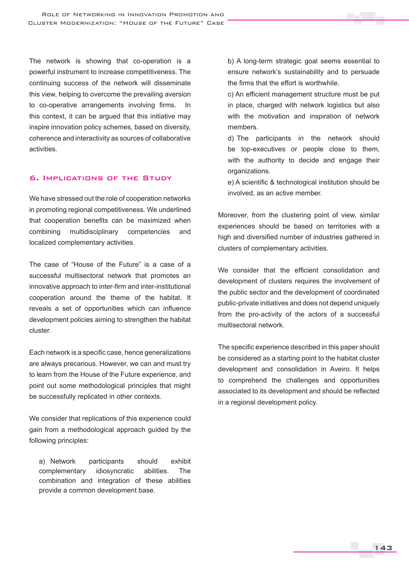The network is showing that co-operation is a powerful instrument to increase competitiveness. The continuing success of the network will disseminate this view, helping to overcome the prevailing aversion to co-operative arrangements involving firms. In this context, it can be argued that this initiative may inspire innovation policy schemes, based on diversity, coherence and interactivity as sources of collaborative activities.

## 6. Implications of the Study

We have stressed out the role of cooperation networks in promoting regional competitiveness. We underlined that cooperation benefits can be maximized when combining multidisciplinary competencies and localized complementary activities.

The case of "House of the Future" is a case of a successful multisectoral network that promotes an innovative approach to inter-firm and inter-institutional cooperation around the theme of the habitat. It reveals a set of opportunities which can influence development policies aiming to strengthen the habitat cluster.

Each network is a specific case, hence generalizations are always precarious. However, we can and must try to learn from the House of the Future experience, and point out some methodological principles that might be successfully replicated in other contexts.

We consider that replications of this experience could gain from a methodological approach guided by the following principles:

a) Network participants should exhibit complementary idiosyncratic abilities. The combination and integration of these abilities provide a common development base.

b) A long-term strategic goal seems essential to ensure network's sustainability and to persuade the firms that the effort is worthwhile.

c) An efficient management structure must be put in place, charged with network logistics but also with the motivation and inspiration of network members.

d) The participants in the network should be top-executives or people close to them, with the authority to decide and engage their organizations.

e) A scientific & technological institution should be involved, as an active member.

Moreover, from the clustering point of view, similar experiences should be based on territories with a high and diversified number of industries gathered in clusters of complementary activities.

We consider that the efficient consolidation and development of clusters requires the involvement of the public sector and the development of coordinated public-private initiatives and does not depend uniquely from the pro-activity of the actors of a successful multisectoral network.

The specific experience described in this paper should be considered as a starting point to the habitat cluster development and consolidation in Aveiro. It helps to comprehend the challenges and opportunities associated to its development and should be reflected in a regional development policy.